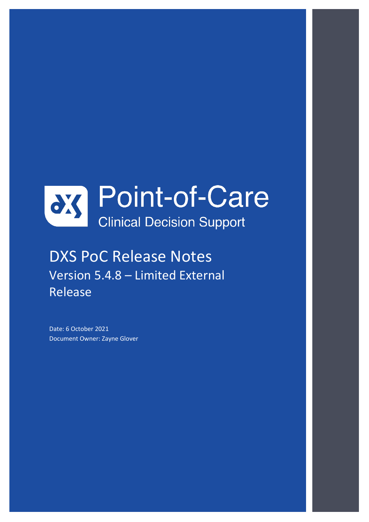

# DXS PoC Release Notes Version 5.4.8 – Limited External Release

Date: 6 October 2021 Document Owner: Zayne Glover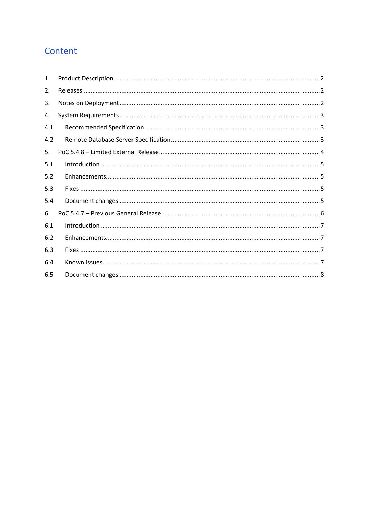# Content

| 1.  |  |
|-----|--|
| 2.  |  |
| 3.  |  |
| 4.  |  |
| 4.1 |  |
| 4.2 |  |
| 5.  |  |
| 5.1 |  |
| 5.2 |  |
| 5.3 |  |
| 5.4 |  |
| 6.  |  |
| 6.1 |  |
| 6.2 |  |
| 6.3 |  |
| 6.4 |  |
| 6.5 |  |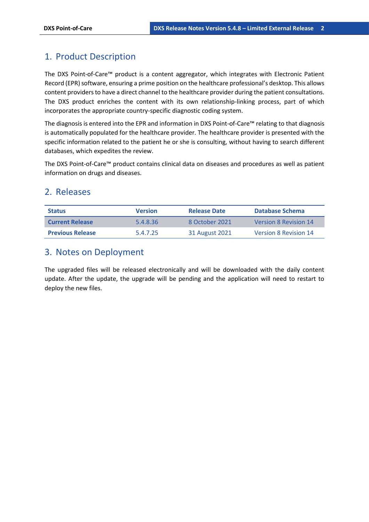### 1. Product Description

The DXS Point-of-Care™ product is a content aggregator, which integrates with Electronic Patient Record (EPR) software, ensuring a prime position on the healthcare professional's desktop. This allows content providers to have a direct channel to the healthcare provider during the patient consultations. The DXS product enriches the content with its own relationship-linking process, part of which incorporates the appropriate country-specific diagnostic coding system.

The diagnosis is entered into the EPR and information in DXS Point-of-Care™ relating to that diagnosis is automatically populated for the healthcare provider. The healthcare provider is presented with the specific information related to the patient he or she is consulting, without having to search different databases, which expedites the review.

The DXS Point-of-Care™ product contains clinical data on diseases and procedures as well as patient information on drugs and diseases.

#### 2. Releases

| <b>Status</b>           | <b>Version</b> | <b>Release Date</b> | Database Schema              |
|-------------------------|----------------|---------------------|------------------------------|
| <b>Current Release</b>  | 5.4.8.36       | 8 October 2021      | <b>Version 8 Revision 14</b> |
| <b>Previous Release</b> | 5.4.7.25       | 31 August 2021      | <b>Version 8 Revision 14</b> |

### 3. Notes on Deployment

The upgraded files will be released electronically and will be downloaded with the daily content update. After the update, the upgrade will be pending and the application will need to restart to deploy the new files.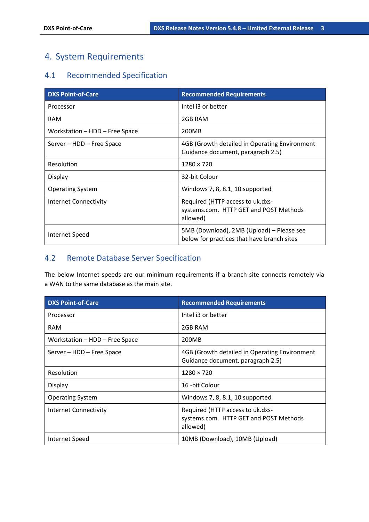## 4. System Requirements

### 4.1 Recommended Specification

| <b>DXS Point-of-Care</b>       | <b>Recommended Requirements</b>                                                         |
|--------------------------------|-----------------------------------------------------------------------------------------|
| Processor                      | Intel i3 or better                                                                      |
| <b>RAM</b>                     | 2GB RAM                                                                                 |
| Workstation - HDD - Free Space | 200MB                                                                                   |
| Server - HDD - Free Space      | 4GB (Growth detailed in Operating Environment<br>Guidance document, paragraph 2.5)      |
| Resolution                     | $1280 \times 720$                                                                       |
| Display                        | 32-bit Colour                                                                           |
| <b>Operating System</b>        | Windows 7, 8, 8.1, 10 supported                                                         |
| Internet Connectivity          | Required (HTTP access to uk.dxs-<br>systems.com. HTTP GET and POST Methods<br>allowed)  |
| Internet Speed                 | 5MB (Download), 2MB (Upload) – Please see<br>below for practices that have branch sites |

### 4.2 Remote Database Server Specification

The below Internet speeds are our minimum requirements if a branch site connects remotely via a WAN to the same database as the main site.

| <b>DXS Point-of-Care</b>       | <b>Recommended Requirements</b>                                                        |
|--------------------------------|----------------------------------------------------------------------------------------|
| Processor                      | Intel i3 or better                                                                     |
| <b>RAM</b>                     | 2GB RAM                                                                                |
| Workstation - HDD - Free Space | 200MB                                                                                  |
| Server – HDD – Free Space      | 4GB (Growth detailed in Operating Environment<br>Guidance document, paragraph 2.5)     |
| Resolution                     | $1280 \times 720$                                                                      |
| Display                        | 16 -bit Colour                                                                         |
| <b>Operating System</b>        | Windows 7, 8, 8.1, 10 supported                                                        |
| Internet Connectivity          | Required (HTTP access to uk.dxs-<br>systems.com. HTTP GET and POST Methods<br>allowed) |
| Internet Speed                 | 10MB (Download), 10MB (Upload)                                                         |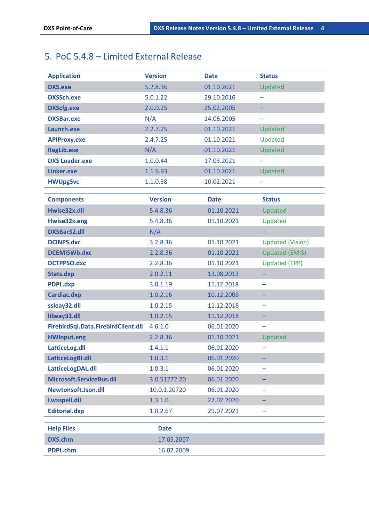# 5. PoC 5.4.8 – Limited External Release

| <b>Application</b>                  | <b>Version</b> | <b>Date</b> | <b>Status</b>           |
|-------------------------------------|----------------|-------------|-------------------------|
| <b>DXS.exe</b>                      | 5.2.8.36       | 01.10.2021  | Updated                 |
| <b>DXSSch.exe</b>                   | 5.0.1.22       | 29.10.2016  |                         |
| <b>DXScfg.exe</b>                   | 2.0.0.25       | 25.02.2005  |                         |
| <b>DXSBar.exe</b>                   | N/A            | 14.06.2005  |                         |
| Launch.exe                          | 2.2.7.25       | 01.10.2021  | Updated                 |
| <b>APIProxy.exe</b>                 | 2.4.7.25       | 01.10.2021  | Updated                 |
| <b>RegLib.exe</b>                   | N/A            | 01.10.2021  | Updated                 |
| <b>DXS Loader.exe</b>               | 1.0.0.44       | 17.03.2021  |                         |
| Linker.exe                          | 1.1.6.93       | 01.10.2021  | Updated                 |
| <b>HWUpgSvc</b>                     | 1.1.0.38       | 10.02.2021  |                         |
|                                     |                |             |                         |
| <b>Components</b>                   | <b>Version</b> | <b>Date</b> | <b>Status</b>           |
| Hwise32x.dll                        | 5.4.8.36       | 01.10.2021  | <b>Updated</b>          |
| Hwise32x.eng                        | 5.4.8.36       | 01.10.2021  | Updated                 |
| <b>DXSBar32.dll</b>                 | N/A            |             |                         |
| <b>DCINPS.dxc</b>                   | 3.2.8.36       | 01.10.2021  | <b>Updated (Vision)</b> |
| <b>DCEMISWb.dxc</b>                 | 2.2.8.36       | 01.10.2021  | <b>Updated (EMIS)</b>   |
| <b>DCTPPSO.dxc</b>                  | 2.2.8.36       | 01.10.2021  | <b>Updated (TPP)</b>    |
| Stats.dxp                           | 2.0.2.11       | 13.08.2013  |                         |
| <b>PDPL.dxp</b>                     | 3.0.1.19       | 11.12.2018  |                         |
| Cardiac.dxp                         | 1.0.2.16       | 10.12.2008  |                         |
| ssleay32.dll                        | 1.0.2.15       | 11.12.2018  |                         |
| libeay32.dll                        | 1.0.2.15       | 11.12.2018  |                         |
| FirebirdSql.Data.FirebirdClient.dll | 4.6.1.0        | 06.01.2020  |                         |
| <b>HWInput.eng</b>                  | 2.2.8.36       | 01.10.2021  | Updated                 |
| LatticeLog.dll                      | 1.4.1.1        | 06.01.2020  |                         |
| LatticeLogBI.dll                    | 1.0.3.1        | 06.01.2020  |                         |
| LatticeLogDAL.dll                   | 1.0.3.1        | 06.01.2020  |                         |
| Microsoft.ServiceBus.dll            | 3.0.51272.20   | 06.01.2020  |                         |
| Newtonsoft.Json.dll                 | 10.0.1.20720   | 06.01.2020  |                         |
| Lwxspell.dll                        | 1.3.1.0        | 27.02.2020  |                         |
| <b>Editorial.dxp</b>                | 1.0.2.67       | 29.07.2021  |                         |
| <b>Help Files</b>                   | <b>Date</b>    |             |                         |
| <b>DXS.chm</b>                      | 17.05.2007     |             |                         |
| <b>PDPL.chm</b>                     | 16.07.2009     |             |                         |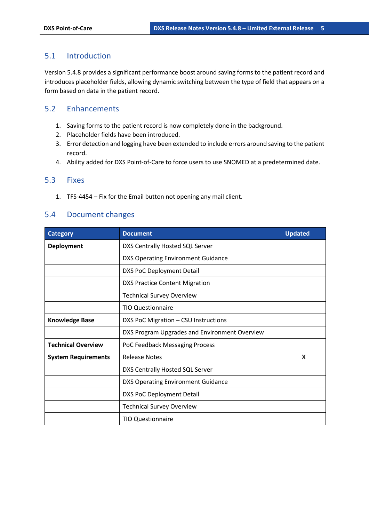#### 5.1 Introduction

Version 5.4.8 provides a significant performance boost around saving forms to the patient record and introduces placeholder fields, allowing dynamic switching between the type of field that appears on a form based on data in the patient record.

#### 5.2 Enhancements

- 1. Saving forms to the patient record is now completely done in the background.
- 2. Placeholder fields have been introduced.
- 3. Error detection and logging have been extended to include errors around saving to the patient record.
- 4. Ability added for DXS Point-of-Care to force users to use SNOMED at a predetermined date.

#### 5.3 Fixes

1. TFS-4454 – Fix for the Email button not opening any mail client.

#### 5.4 Document changes

| <b>Category</b>            | <b>Document</b>                               | <b>Updated</b> |
|----------------------------|-----------------------------------------------|----------------|
| <b>Deployment</b>          | DXS Centrally Hosted SQL Server               |                |
|                            | <b>DXS Operating Environment Guidance</b>     |                |
|                            | DXS PoC Deployment Detail                     |                |
|                            | <b>DXS Practice Content Migration</b>         |                |
|                            | <b>Technical Survey Overview</b>              |                |
|                            | <b>TIO Questionnaire</b>                      |                |
| <b>Knowledge Base</b>      | DXS PoC Migration - CSU Instructions          |                |
|                            | DXS Program Upgrades and Environment Overview |                |
| <b>Technical Overview</b>  | PoC Feedback Messaging Process                |                |
| <b>System Requirements</b> | <b>Release Notes</b>                          | X              |
|                            | DXS Centrally Hosted SQL Server               |                |
|                            | <b>DXS Operating Environment Guidance</b>     |                |
|                            | <b>DXS PoC Deployment Detail</b>              |                |
|                            | <b>Technical Survey Overview</b>              |                |
|                            | <b>TIO Questionnaire</b>                      |                |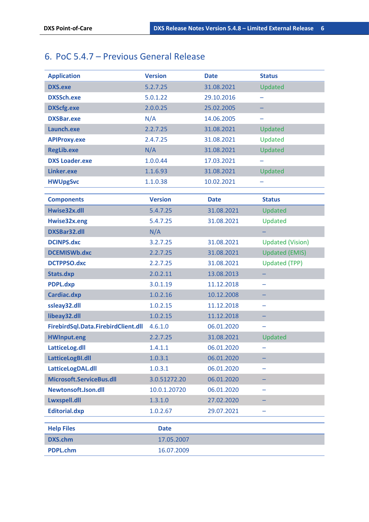# 6. PoC 5.4.7 – Previous General Release

| <b>Application</b>                  | <b>Version</b> | <b>Date</b> | <b>Status</b>           |
|-------------------------------------|----------------|-------------|-------------------------|
| <b>DXS.exe</b>                      | 5.2.7.25       | 31.08.2021  | Updated                 |
| <b>DXSSch.exe</b>                   | 5.0.1.22       | 29.10.2016  |                         |
| <b>DXScfg.exe</b>                   | 2.0.0.25       | 25.02.2005  |                         |
| <b>DXSBar.exe</b>                   | N/A            | 14.06.2005  |                         |
| Launch.exe                          | 2.2.7.25       | 31.08.2021  | Updated                 |
| <b>APIProxy.exe</b>                 | 2.4.7.25       | 31.08.2021  | Updated                 |
| <b>RegLib.exe</b>                   | N/A            | 31.08.2021  | Updated                 |
| <b>DXS Loader.exe</b>               | 1.0.0.44       | 17.03.2021  |                         |
| Linker.exe                          | 1.1.6.93       | 31.08.2021  | Updated                 |
| <b>HWUpgSvc</b>                     | 1.1.0.38       | 10.02.2021  |                         |
|                                     |                |             |                         |
| <b>Components</b>                   | <b>Version</b> | <b>Date</b> | <b>Status</b>           |
| Hwise32x.dll                        | 5.4.7.25       | 31.08.2021  | Updated                 |
| Hwise32x.eng                        | 5.4.7.25       | 31.08.2021  | Updated                 |
| <b>DXSBar32.dll</b>                 | N/A            |             |                         |
| <b>DCINPS.dxc</b>                   | 3.2.7.25       | 31.08.2021  | <b>Updated (Vision)</b> |
| <b>DCEMISWb.dxc</b>                 | 2.2.7.25       | 31.08.2021  | <b>Updated (EMIS)</b>   |
| <b>DCTPPSO.dxc</b>                  | 2.2.7.25       | 31.08.2021  | <b>Updated (TPP)</b>    |
| Stats.dxp                           | 2.0.2.11       | 13.08.2013  |                         |
| <b>PDPL.dxp</b>                     | 3.0.1.19       | 11.12.2018  |                         |
| Cardiac.dxp                         | 1.0.2.16       | 10.12.2008  |                         |
| ssleay32.dll                        | 1.0.2.15       | 11.12.2018  |                         |
| libeay32.dll                        | 1.0.2.15       | 11.12.2018  |                         |
| FirebirdSql.Data.FirebirdClient.dll | 4.6.1.0        | 06.01.2020  |                         |
| <b>HWInput.eng</b>                  | 2.2.7.25       | 31.08.2021  | Updated                 |
| LatticeLog.dll                      | 1.4.1.1        | 06.01.2020  |                         |
| LatticeLogBI.dll                    | 1.0.3.1        | 06.01.2020  |                         |
| LatticeLogDAL.dll                   | 1.0.3.1        | 06.01.2020  |                         |
| Microsoft.ServiceBus.dll            | 3.0.51272.20   | 06.01.2020  |                         |
| Newtonsoft.Json.dll                 | 10.0.1.20720   | 06.01.2020  |                         |
| Lwxspell.dll                        | 1.3.1.0        | 27.02.2020  |                         |
| <b>Editorial.dxp</b>                | 1.0.2.67       | 29.07.2021  |                         |
| <b>Help Files</b>                   | <b>Date</b>    |             |                         |
| <b>DXS.chm</b>                      | 17.05.2007     |             |                         |
| <b>PDPL.chm</b>                     | 16.07.2009     |             |                         |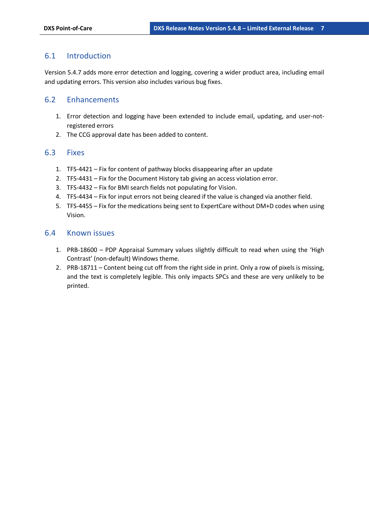#### 6.1 Introduction

Version 5.4.7 adds more error detection and logging, covering a wider product area, including email and updating errors. This version also includes various bug fixes.

#### 6.2 Enhancements

- 1. Error detection and logging have been extended to include email, updating, and user-notregistered errors
- 2. The CCG approval date has been added to content.

#### 6.3 Fixes

- 1. TFS-4421 Fix for content of pathway blocks disappearing after an update
- 2. TFS-4431 Fix for the Document History tab giving an access violation error.
- 3. TFS-4432 Fix for BMI search fields not populating for Vision.
- 4. TFS-4434 Fix for input errors not being cleared if the value is changed via another field.
- 5. TFS-4455 Fix for the medications being sent to ExpertCare without DM+D codes when using Vision.

#### 6.4 Known issues

- 1. PRB-18600 PDP Appraisal Summary values slightly difficult to read when using the 'High Contrast' (non-default) Windows theme.
- 2. PRB-18711 Content being cut off from the right side in print. Only a row of pixels is missing, and the text is completely legible. This only impacts SPCs and these are very unlikely to be printed.